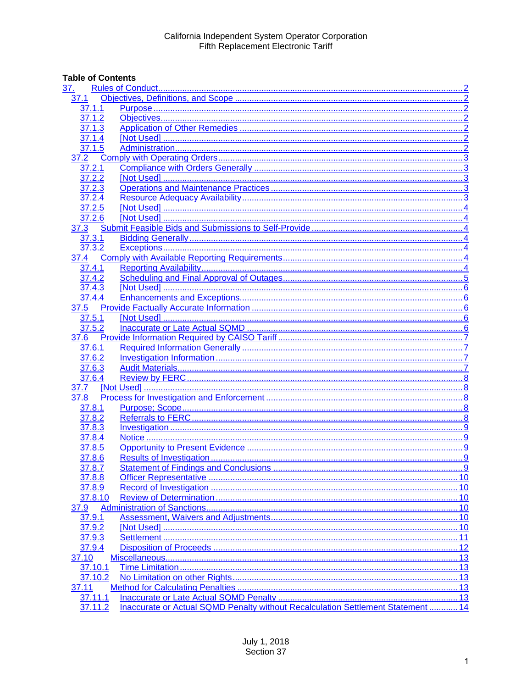# **Table of Contents**

| <u>37.</u>                                                                                                                                  |     |
|---------------------------------------------------------------------------------------------------------------------------------------------|-----|
| 37.1                                                                                                                                        |     |
| 37.1.1                                                                                                                                      |     |
| 37.1.2                                                                                                                                      |     |
| 37.1.3                                                                                                                                      |     |
| 37.1.4                                                                                                                                      |     |
| 37.1.5                                                                                                                                      |     |
| 37.2                                                                                                                                        |     |
| 37.2.1                                                                                                                                      |     |
| 37.2.2                                                                                                                                      |     |
| 37.2.3                                                                                                                                      |     |
| 37.2.4                                                                                                                                      |     |
| 37.2.5                                                                                                                                      |     |
| 37.2.6                                                                                                                                      |     |
| 6 Mot Used 31 March 2014 19 March 2015 10 March 2014 10:44 Submit Feasible Bids and Submissions to Self-Provide 32 March 2014 10:44<br>37.3 |     |
| 37.3.1                                                                                                                                      |     |
| 37.3.2                                                                                                                                      |     |
| 37.4                                                                                                                                        |     |
| 37.4.1                                                                                                                                      |     |
| 37.4.2                                                                                                                                      |     |
| 37.4.3                                                                                                                                      |     |
| 37.4.4                                                                                                                                      |     |
| 37.5                                                                                                                                        |     |
| 37.5.1                                                                                                                                      |     |
| 37.5.2                                                                                                                                      |     |
| 37.6                                                                                                                                        |     |
| 37.6.1                                                                                                                                      |     |
| 37.6.2                                                                                                                                      |     |
| 37.6.3                                                                                                                                      |     |
| 37.6.4                                                                                                                                      |     |
| 37.7                                                                                                                                        |     |
| 37.8                                                                                                                                        |     |
| 37.8.1                                                                                                                                      |     |
| 37.8.2                                                                                                                                      |     |
| 37.8.3                                                                                                                                      |     |
| 37.8.4                                                                                                                                      |     |
| 37.8.5                                                                                                                                      |     |
| 37.8.6                                                                                                                                      |     |
| 37.8.7                                                                                                                                      |     |
| 37.8.8                                                                                                                                      |     |
| 37.8.9                                                                                                                                      |     |
| 37.8.10                                                                                                                                     |     |
| 37.9                                                                                                                                        |     |
| 37.9.1                                                                                                                                      |     |
| 37.9.2                                                                                                                                      |     |
| 37.9.3                                                                                                                                      |     |
| 37.9.4                                                                                                                                      | .12 |
| 37.10                                                                                                                                       |     |
| 37.10.1                                                                                                                                     |     |
| 37.10.2                                                                                                                                     |     |
| 37.11                                                                                                                                       |     |
| 37.11.1                                                                                                                                     |     |
| Inaccurate or Actual SQMD Penalty without Recalculation Settlement Statement  14<br>37.11.2                                                 |     |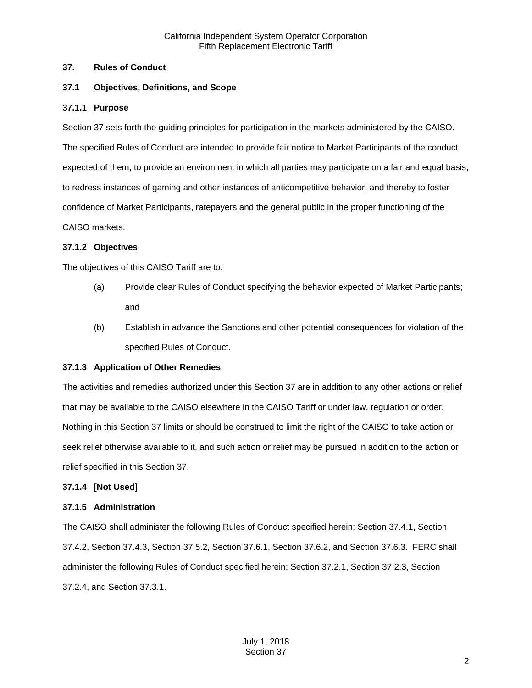#### <span id="page-1-0"></span>**37. Rules of Conduct**

#### <span id="page-1-1"></span>**37.1 Objectives, Definitions, and Scope**

#### <span id="page-1-2"></span>**37.1.1 Purpose**

Section 37 sets forth the guiding principles for participation in the markets administered by the CAISO. The specified Rules of Conduct are intended to provide fair notice to Market Participants of the conduct expected of them, to provide an environment in which all parties may participate on a fair and equal basis, to redress instances of gaming and other instances of anticompetitive behavior, and thereby to foster confidence of Market Participants, ratepayers and the general public in the proper functioning of the CAISO markets.

#### <span id="page-1-3"></span>**37.1.2 Objectives**

The objectives of this CAISO Tariff are to:

- (a) Provide clear Rules of Conduct specifying the behavior expected of Market Participants; and
- (b) Establish in advance the Sanctions and other potential consequences for violation of the specified Rules of Conduct.

#### <span id="page-1-4"></span>**37.1.3 Application of Other Remedies**

The activities and remedies authorized under this Section 37 are in addition to any other actions or relief that may be available to the CAISO elsewhere in the CAISO Tariff or under law, regulation or order. Nothing in this Section 37 limits or should be construed to limit the right of the CAISO to take action or seek relief otherwise available to it, and such action or relief may be pursued in addition to the action or relief specified in this Section 37.

#### <span id="page-1-5"></span>**37.1.4 [Not Used]**

#### <span id="page-1-6"></span>**37.1.5 Administration**

The CAISO shall administer the following Rules of Conduct specified herein: Section 37.4.1, Section 37.4.2, Section 37.4.3, Section 37.5.2, Section 37.6.1, Section 37.6.2, and Section 37.6.3. FERC shall administer the following Rules of Conduct specified herein: Section 37.2.1, Section 37.2.3, Section 37.2.4, and Section 37.3.1.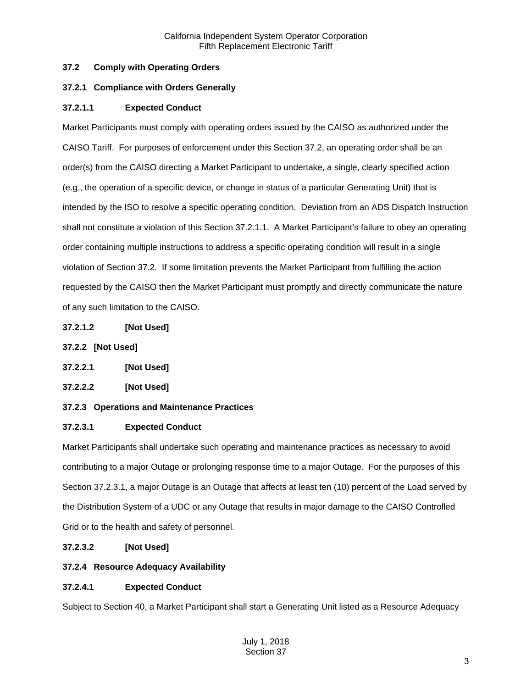# <span id="page-2-0"></span>**37.2 Comply with Operating Orders**

# <span id="page-2-1"></span>**37.2.1 Compliance with Orders Generally**

# **37.2.1.1 Expected Conduct**

Market Participants must comply with operating orders issued by the CAISO as authorized under the CAISO Tariff. For purposes of enforcement under this Section 37.2, an operating order shall be an order(s) from the CAISO directing a Market Participant to undertake, a single, clearly specified action (e.g., the operation of a specific device, or change in status of a particular Generating Unit) that is intended by the ISO to resolve a specific operating condition. Deviation from an ADS Dispatch Instruction shall not constitute a violation of this Section 37.2.1.1. A Market Participant's failure to obey an operating order containing multiple instructions to address a specific operating condition will result in a single violation of Section 37.2. If some limitation prevents the Market Participant from fulfilling the action requested by the CAISO then the Market Participant must promptly and directly communicate the nature of any such limitation to the CAISO.

**37.2.1.2 [Not Used]**

# <span id="page-2-2"></span>**37.2.2 [Not Used]**

**37.2.2.1 [Not Used]**

# **37.2.2.2 [Not Used]**

# <span id="page-2-3"></span>**37.2.3 Operations and Maintenance Practices**

# **37.2.3.1 Expected Conduct**

Market Participants shall undertake such operating and maintenance practices as necessary to avoid contributing to a major Outage or prolonging response time to a major Outage. For the purposes of this Section 37.2.3.1, a major Outage is an Outage that affects at least ten (10) percent of the Load served by the Distribution System of a UDC or any Outage that results in major damage to the CAISO Controlled Grid or to the health and safety of personnel.

# **37.2.3.2 [Not Used]**

# <span id="page-2-4"></span>**37.2.4 Resource Adequacy Availability**

# **37.2.4.1 Expected Conduct**

Subject to Section 40, a Market Participant shall start a Generating Unit listed as a Resource Adequacy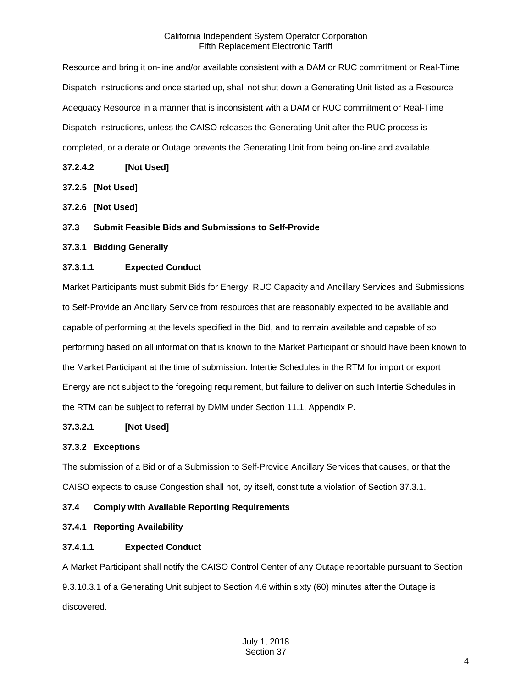Resource and bring it on-line and/or available consistent with a DAM or RUC commitment or Real-Time Dispatch Instructions and once started up, shall not shut down a Generating Unit listed as a Resource Adequacy Resource in a manner that is inconsistent with a DAM or RUC commitment or Real-Time Dispatch Instructions, unless the CAISO releases the Generating Unit after the RUC process is completed, or a derate or Outage prevents the Generating Unit from being on-line and available.

## **37.2.4.2 [Not Used]**

- <span id="page-3-0"></span>**37.2.5 [Not Used]**
- <span id="page-3-1"></span>**37.2.6 [Not Used]**
- <span id="page-3-2"></span>**37.3 Submit Feasible Bids and Submissions to Self-Provide**
- <span id="page-3-3"></span>**37.3.1 Bidding Generally**

## **37.3.1.1 Expected Conduct**

Market Participants must submit Bids for Energy, RUC Capacity and Ancillary Services and Submissions to Self-Provide an Ancillary Service from resources that are reasonably expected to be available and capable of performing at the levels specified in the Bid, and to remain available and capable of so performing based on all information that is known to the Market Participant or should have been known to the Market Participant at the time of submission. Intertie Schedules in the RTM for import or export Energy are not subject to the foregoing requirement, but failure to deliver on such Intertie Schedules in the RTM can be subject to referral by DMM under Section 11.1, Appendix P.

## **37.3.2.1 [Not Used]**

# <span id="page-3-4"></span>**37.3.2 Exceptions**

The submission of a Bid or of a Submission to Self-Provide Ancillary Services that causes, or that the CAISO expects to cause Congestion shall not, by itself, constitute a violation of Section 37.3.1.

# <span id="page-3-5"></span>**37.4 Comply with Available Reporting Requirements**

## <span id="page-3-6"></span>**37.4.1 Reporting Availability**

# **37.4.1.1 Expected Conduct**

A Market Participant shall notify the CAISO Control Center of any Outage reportable pursuant to Section 9.3.10.3.1 of a Generating Unit subject to Section 4.6 within sixty (60) minutes after the Outage is discovered.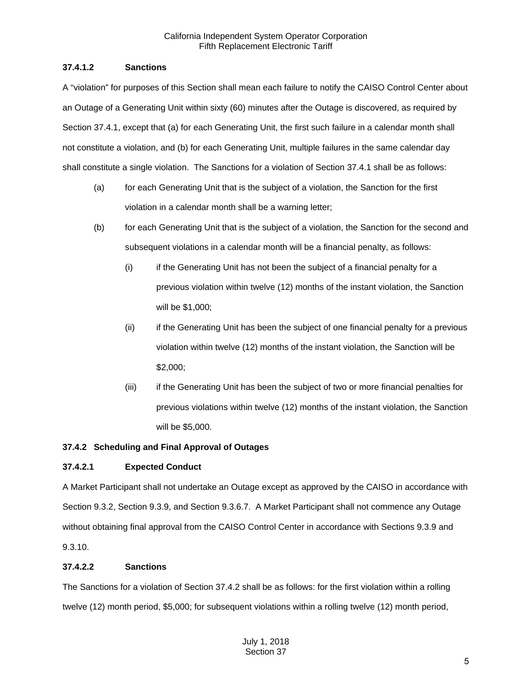## **37.4.1.2 Sanctions**

A "violation" for purposes of this Section shall mean each failure to notify the CAISO Control Center about an Outage of a Generating Unit within sixty (60) minutes after the Outage is discovered, as required by Section 37.4.1, except that (a) for each Generating Unit, the first such failure in a calendar month shall not constitute a violation, and (b) for each Generating Unit, multiple failures in the same calendar day shall constitute a single violation. The Sanctions for a violation of Section 37.4.1 shall be as follows:

- (a) for each Generating Unit that is the subject of a violation, the Sanction for the first violation in a calendar month shall be a warning letter;
- (b) for each Generating Unit that is the subject of a violation, the Sanction for the second and subsequent violations in a calendar month will be a financial penalty, as follows:
	- (i) if the Generating Unit has not been the subject of a financial penalty for a previous violation within twelve (12) months of the instant violation, the Sanction will be \$1,000;
	- (ii) if the Generating Unit has been the subject of one financial penalty for a previous violation within twelve (12) months of the instant violation, the Sanction will be \$2,000;
	- (iii) if the Generating Unit has been the subject of two or more financial penalties for previous violations within twelve (12) months of the instant violation, the Sanction will be \$5,000.

# <span id="page-4-0"></span>**37.4.2 Scheduling and Final Approval of Outages**

# **37.4.2.1 Expected Conduct**

A Market Participant shall not undertake an Outage except as approved by the CAISO in accordance with Section 9.3.2, Section 9.3.9, and Section 9.3.6.7. A Market Participant shall not commence any Outage without obtaining final approval from the CAISO Control Center in accordance with Sections 9.3.9 and 9.3.10.

## **37.4.2.2 Sanctions**

The Sanctions for a violation of Section 37.4.2 shall be as follows: for the first violation within a rolling twelve (12) month period, \$5,000; for subsequent violations within a rolling twelve (12) month period,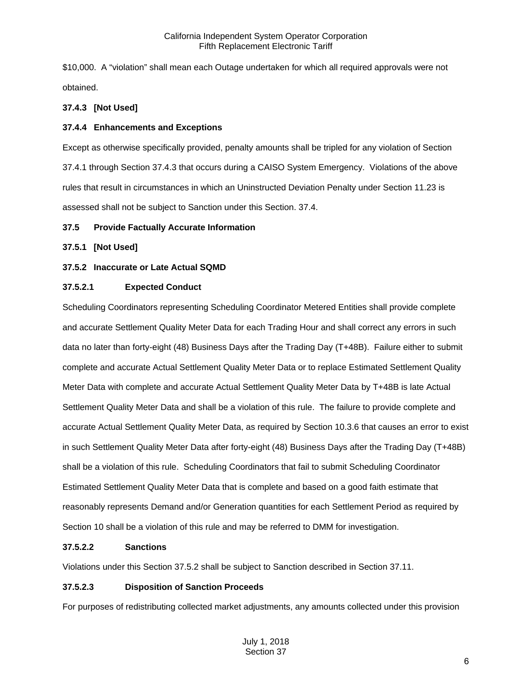\$10,000. A "violation" shall mean each Outage undertaken for which all required approvals were not obtained.

## <span id="page-5-0"></span>**37.4.3 [Not Used]**

## <span id="page-5-1"></span>**37.4.4 Enhancements and Exceptions**

Except as otherwise specifically provided, penalty amounts shall be tripled for any violation of Section 37.4.1 through Section 37.4.3 that occurs during a CAISO System Emergency. Violations of the above rules that result in circumstances in which an Uninstructed Deviation Penalty under Section 11.23 is assessed shall not be subject to Sanction under this Section. 37.4.

## <span id="page-5-2"></span>**37.5 Provide Factually Accurate Information**

## <span id="page-5-3"></span>**37.5.1 [Not Used]**

## <span id="page-5-4"></span>**37.5.2 Inaccurate or Late Actual SQMD**

## **37.5.2.1 Expected Conduct**

Scheduling Coordinators representing Scheduling Coordinator Metered Entities shall provide complete and accurate Settlement Quality Meter Data for each Trading Hour and shall correct any errors in such data no later than forty-eight (48) Business Days after the Trading Day (T+48B). Failure either to submit complete and accurate Actual Settlement Quality Meter Data or to replace Estimated Settlement Quality Meter Data with complete and accurate Actual Settlement Quality Meter Data by T+48B is late Actual Settlement Quality Meter Data and shall be a violation of this rule. The failure to provide complete and accurate Actual Settlement Quality Meter Data, as required by Section 10.3.6 that causes an error to exist in such Settlement Quality Meter Data after forty-eight (48) Business Days after the Trading Day (T+48B) shall be a violation of this rule. Scheduling Coordinators that fail to submit Scheduling Coordinator Estimated Settlement Quality Meter Data that is complete and based on a good faith estimate that reasonably represents Demand and/or Generation quantities for each Settlement Period as required by Section 10 shall be a violation of this rule and may be referred to DMM for investigation.

## **37.5.2.2 Sanctions**

Violations under this Section 37.5.2 shall be subject to Sanction described in Section 37.11.

## **37.5.2.3 Disposition of Sanction Proceeds**

For purposes of redistributing collected market adjustments, any amounts collected under this provision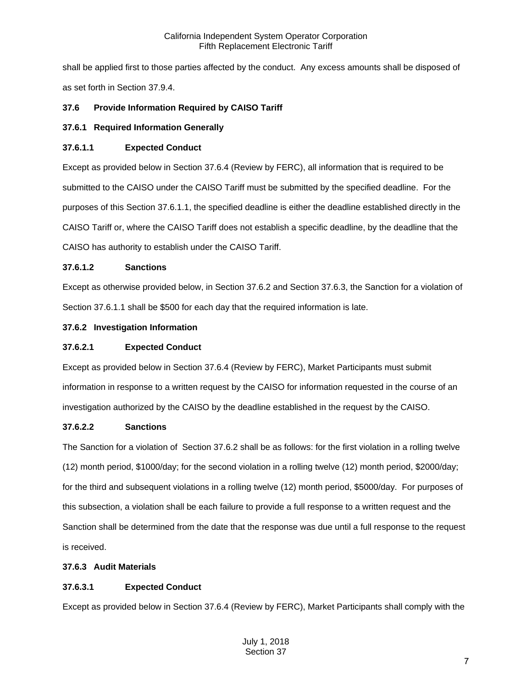shall be applied first to those parties affected by the conduct. Any excess amounts shall be disposed of as set forth in Section 37.9.4.

# <span id="page-6-0"></span>**37.6 Provide Information Required by CAISO Tariff**

# <span id="page-6-1"></span>**37.6.1 Required Information Generally**

## **37.6.1.1 Expected Conduct**

Except as provided below in Section 37.6.4 (Review by FERC), all information that is required to be submitted to the CAISO under the CAISO Tariff must be submitted by the specified deadline. For the purposes of this Section 37.6.1.1, the specified deadline is either the deadline established directly in the CAISO Tariff or, where the CAISO Tariff does not establish a specific deadline, by the deadline that the CAISO has authority to establish under the CAISO Tariff.

## **37.6.1.2 Sanctions**

Except as otherwise provided below, in Section 37.6.2 and Section 37.6.3, the Sanction for a violation of Section 37.6.1.1 shall be \$500 for each day that the required information is late.

## <span id="page-6-2"></span>**37.6.2 Investigation Information**

## **37.6.2.1 Expected Conduct**

Except as provided below in Section 37.6.4 (Review by FERC), Market Participants must submit information in response to a written request by the CAISO for information requested in the course of an investigation authorized by the CAISO by the deadline established in the request by the CAISO.

## **37.6.2.2 Sanctions**

The Sanction for a violation of Section 37.6.2 shall be as follows: for the first violation in a rolling twelve (12) month period, \$1000/day; for the second violation in a rolling twelve (12) month period, \$2000/day; for the third and subsequent violations in a rolling twelve (12) month period, \$5000/day. For purposes of this subsection, a violation shall be each failure to provide a full response to a written request and the Sanction shall be determined from the date that the response was due until a full response to the request is received.

# <span id="page-6-3"></span>**37.6.3 Audit Materials**

# **37.6.3.1 Expected Conduct**

Except as provided below in Section 37.6.4 (Review by FERC), Market Participants shall comply with the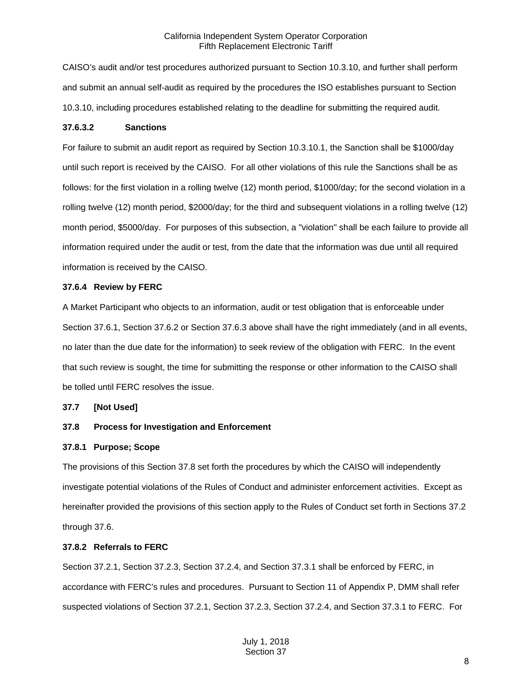CAISO's audit and/or test procedures authorized pursuant to Section 10.3.10, and further shall perform and submit an annual self-audit as required by the procedures the ISO establishes pursuant to Section 10.3.10, including procedures established relating to the deadline for submitting the required audit.

#### **37.6.3.2 Sanctions**

For failure to submit an audit report as required by Section 10.3.10.1, the Sanction shall be \$1000/day until such report is received by the CAISO. For all other violations of this rule the Sanctions shall be as follows: for the first violation in a rolling twelve (12) month period, \$1000/day; for the second violation in a rolling twelve (12) month period, \$2000/day; for the third and subsequent violations in a rolling twelve (12) month period, \$5000/day. For purposes of this subsection, a "violation" shall be each failure to provide all information required under the audit or test, from the date that the information was due until all required information is received by the CAISO.

#### <span id="page-7-0"></span>**37.6.4 Review by FERC**

A Market Participant who objects to an information, audit or test obligation that is enforceable under Section 37.6.1, Section 37.6.2 or Section 37.6.3 above shall have the right immediately (and in all events, no later than the due date for the information) to seek review of the obligation with FERC. In the event that such review is sought, the time for submitting the response or other information to the CAISO shall be tolled until FERC resolves the issue.

## <span id="page-7-1"></span>**37.7 [Not Used]**

## <span id="page-7-2"></span>**37.8 Process for Investigation and Enforcement**

## <span id="page-7-3"></span>**37.8.1 Purpose; Scope**

The provisions of this Section 37.8 set forth the procedures by which the CAISO will independently investigate potential violations of the Rules of Conduct and administer enforcement activities. Except as hereinafter provided the provisions of this section apply to the Rules of Conduct set forth in Sections 37.2 through 37.6.

#### <span id="page-7-4"></span>**37.8.2 Referrals to FERC**

Section 37.2.1, Section 37.2.3, Section 37.2.4, and Section 37.3.1 shall be enforced by FERC, in accordance with FERC's rules and procedures. Pursuant to Section 11 of Appendix P, DMM shall refer suspected violations of Section 37.2.1, Section 37.2.3, Section 37.2.4, and Section 37.3.1 to FERC. For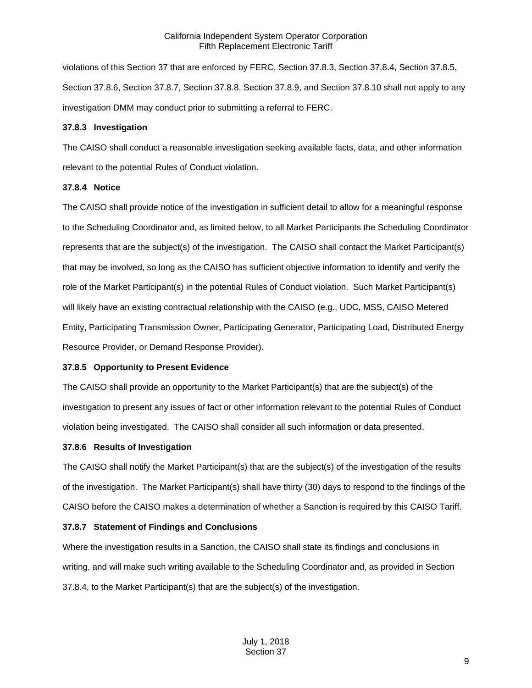violations of this Section 37 that are enforced by FERC, Section 37.8.3, Section 37.8.4, Section 37.8.5, Section 37.8.6, Section 37.8.7, Section 37.8.8, Section 37.8.9, and Section 37.8.10 shall not apply to any investigation DMM may conduct prior to submitting a referral to FERC.

## <span id="page-8-0"></span>**37.8.3 Investigation**

The CAISO shall conduct a reasonable investigation seeking available facts, data, and other information relevant to the potential Rules of Conduct violation.

## <span id="page-8-1"></span>**37.8.4 Notice**

The CAISO shall provide notice of the investigation in sufficient detail to allow for a meaningful response to the Scheduling Coordinator and, as limited below, to all Market Participants the Scheduling Coordinator represents that are the subject(s) of the investigation. The CAISO shall contact the Market Participant(s) that may be involved, so long as the CAISO has sufficient objective information to identify and verify the role of the Market Participant(s) in the potential Rules of Conduct violation. Such Market Participant(s) will likely have an existing contractual relationship with the CAISO (e.g., UDC, MSS, CAISO Metered Entity, Participating Transmission Owner, Participating Generator, Participating Load, Distributed Energy Resource Provider, or Demand Response Provider).

## <span id="page-8-2"></span>**37.8.5 Opportunity to Present Evidence**

The CAISO shall provide an opportunity to the Market Participant(s) that are the subject(s) of the investigation to present any issues of fact or other information relevant to the potential Rules of Conduct violation being investigated. The CAISO shall consider all such information or data presented.

# <span id="page-8-3"></span>**37.8.6 Results of Investigation**

The CAISO shall notify the Market Participant(s) that are the subject(s) of the investigation of the results of the investigation. The Market Participant(s) shall have thirty (30) days to respond to the findings of the CAISO before the CAISO makes a determination of whether a Sanction is required by this CAISO Tariff.

# <span id="page-8-4"></span>**37.8.7 Statement of Findings and Conclusions**

Where the investigation results in a Sanction, the CAISO shall state its findings and conclusions in writing, and will make such writing available to the Scheduling Coordinator and, as provided in Section 37.8.4, to the Market Participant(s) that are the subject(s) of the investigation.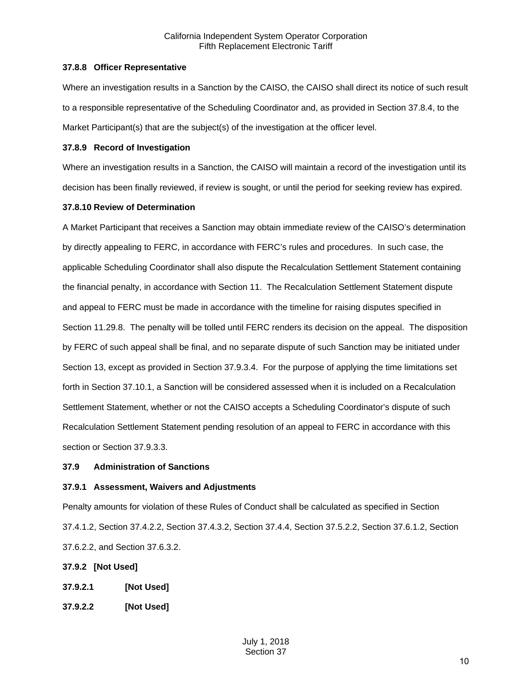#### <span id="page-9-0"></span>**37.8.8 Officer Representative**

Where an investigation results in a Sanction by the CAISO, the CAISO shall direct its notice of such result to a responsible representative of the Scheduling Coordinator and, as provided in Section 37.8.4, to the Market Participant(s) that are the subject(s) of the investigation at the officer level.

#### <span id="page-9-1"></span>**37.8.9 Record of Investigation**

Where an investigation results in a Sanction, the CAISO will maintain a record of the investigation until its decision has been finally reviewed, if review is sought, or until the period for seeking review has expired.

#### <span id="page-9-2"></span>**37.8.10 Review of Determination**

A Market Participant that receives a Sanction may obtain immediate review of the CAISO's determination by directly appealing to FERC, in accordance with FERC's rules and procedures. In such case, the applicable Scheduling Coordinator shall also dispute the Recalculation Settlement Statement containing the financial penalty, in accordance with Section 11. The Recalculation Settlement Statement dispute and appeal to FERC must be made in accordance with the timeline for raising disputes specified in Section 11.29.8. The penalty will be tolled until FERC renders its decision on the appeal. The disposition by FERC of such appeal shall be final, and no separate dispute of such Sanction may be initiated under Section 13, except as provided in Section 37.9.3.4. For the purpose of applying the time limitations set forth in Section 37.10.1, a Sanction will be considered assessed when it is included on a Recalculation Settlement Statement, whether or not the CAISO accepts a Scheduling Coordinator's dispute of such Recalculation Settlement Statement pending resolution of an appeal to FERC in accordance with this section or Section 37.9.3.3.

## <span id="page-9-3"></span>**37.9 Administration of Sanctions**

## <span id="page-9-4"></span>**37.9.1 Assessment, Waivers and Adjustments**

Penalty amounts for violation of these Rules of Conduct shall be calculated as specified in Section 37.4.1.2, Section 37.4.2.2, Section 37.4.3.2, Section 37.4.4, Section 37.5.2.2, Section 37.6.1.2, Section 37.6.2.2, and Section 37.6.3.2.

## <span id="page-9-5"></span>**37.9.2 [Not Used]**

- **37.9.2.1 [Not Used]**
- **37.9.2.2 [Not Used]**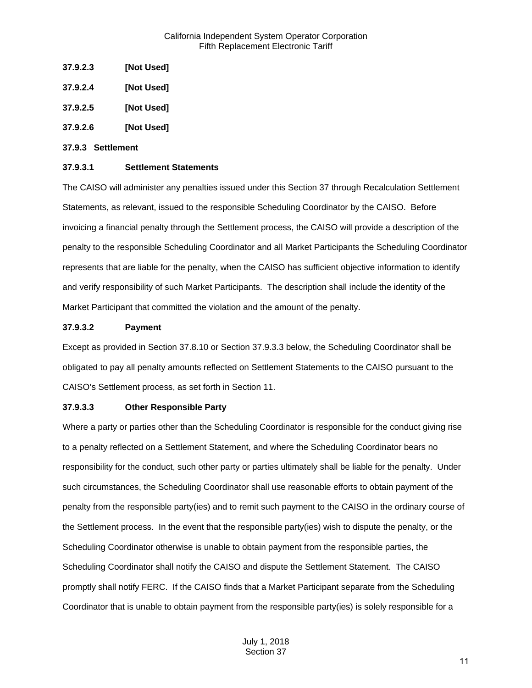- **37.9.2.3 [Not Used]**
- **37.9.2.4 [Not Used]**
- **37.9.2.5 [Not Used]**
- **37.9.2.6 [Not Used]**

#### <span id="page-10-0"></span>**37.9.3 Settlement**

#### **37.9.3.1 Settlement Statements**

The CAISO will administer any penalties issued under this Section 37 through Recalculation Settlement Statements, as relevant, issued to the responsible Scheduling Coordinator by the CAISO. Before invoicing a financial penalty through the Settlement process, the CAISO will provide a description of the penalty to the responsible Scheduling Coordinator and all Market Participants the Scheduling Coordinator represents that are liable for the penalty, when the CAISO has sufficient objective information to identify and verify responsibility of such Market Participants. The description shall include the identity of the Market Participant that committed the violation and the amount of the penalty.

#### **37.9.3.2 Payment**

Except as provided in Section 37.8.10 or Section 37.9.3.3 below, the Scheduling Coordinator shall be obligated to pay all penalty amounts reflected on Settlement Statements to the CAISO pursuant to the CAISO's Settlement process, as set forth in Section 11.

## **37.9.3.3 Other Responsible Party**

Where a party or parties other than the Scheduling Coordinator is responsible for the conduct giving rise to a penalty reflected on a Settlement Statement, and where the Scheduling Coordinator bears no responsibility for the conduct, such other party or parties ultimately shall be liable for the penalty. Under such circumstances, the Scheduling Coordinator shall use reasonable efforts to obtain payment of the penalty from the responsible party(ies) and to remit such payment to the CAISO in the ordinary course of the Settlement process. In the event that the responsible party(ies) wish to dispute the penalty, or the Scheduling Coordinator otherwise is unable to obtain payment from the responsible parties, the Scheduling Coordinator shall notify the CAISO and dispute the Settlement Statement. The CAISO promptly shall notify FERC. If the CAISO finds that a Market Participant separate from the Scheduling Coordinator that is unable to obtain payment from the responsible party(ies) is solely responsible for a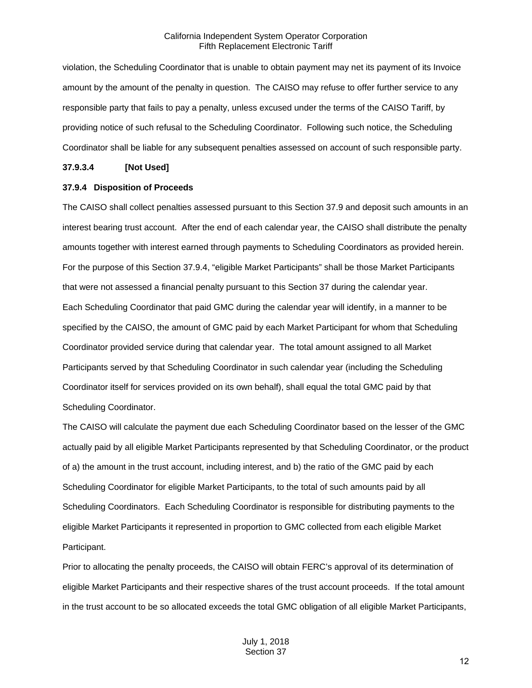violation, the Scheduling Coordinator that is unable to obtain payment may net its payment of its Invoice amount by the amount of the penalty in question. The CAISO may refuse to offer further service to any responsible party that fails to pay a penalty, unless excused under the terms of the CAISO Tariff, by providing notice of such refusal to the Scheduling Coordinator. Following such notice, the Scheduling Coordinator shall be liable for any subsequent penalties assessed on account of such responsible party.

#### **37.9.3.4 [Not Used]**

#### <span id="page-11-0"></span>**37.9.4 Disposition of Proceeds**

The CAISO shall collect penalties assessed pursuant to this Section 37.9 and deposit such amounts in an interest bearing trust account. After the end of each calendar year, the CAISO shall distribute the penalty amounts together with interest earned through payments to Scheduling Coordinators as provided herein. For the purpose of this Section 37.9.4, "eligible Market Participants" shall be those Market Participants that were not assessed a financial penalty pursuant to this Section 37 during the calendar year. Each Scheduling Coordinator that paid GMC during the calendar year will identify, in a manner to be specified by the CAISO, the amount of GMC paid by each Market Participant for whom that Scheduling Coordinator provided service during that calendar year. The total amount assigned to all Market Participants served by that Scheduling Coordinator in such calendar year (including the Scheduling Coordinator itself for services provided on its own behalf), shall equal the total GMC paid by that Scheduling Coordinator.

The CAISO will calculate the payment due each Scheduling Coordinator based on the lesser of the GMC actually paid by all eligible Market Participants represented by that Scheduling Coordinator, or the product of a) the amount in the trust account, including interest, and b) the ratio of the GMC paid by each Scheduling Coordinator for eligible Market Participants, to the total of such amounts paid by all Scheduling Coordinators. Each Scheduling Coordinator is responsible for distributing payments to the eligible Market Participants it represented in proportion to GMC collected from each eligible Market Participant.

Prior to allocating the penalty proceeds, the CAISO will obtain FERC's approval of its determination of eligible Market Participants and their respective shares of the trust account proceeds. If the total amount in the trust account to be so allocated exceeds the total GMC obligation of all eligible Market Participants,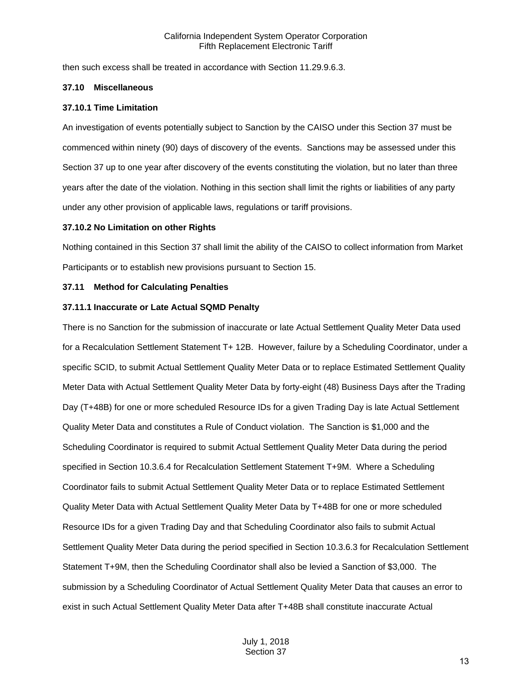then such excess shall be treated in accordance with Section 11.29.9.6.3.

#### <span id="page-12-0"></span>**37.10 Miscellaneous**

#### <span id="page-12-1"></span>**37.10.1 Time Limitation**

An investigation of events potentially subject to Sanction by the CAISO under this Section 37 must be commenced within ninety (90) days of discovery of the events. Sanctions may be assessed under this Section 37 up to one year after discovery of the events constituting the violation, but no later than three years after the date of the violation. Nothing in this section shall limit the rights or liabilities of any party under any other provision of applicable laws, regulations or tariff provisions.

#### <span id="page-12-2"></span>**37.10.2 No Limitation on other Rights**

Nothing contained in this Section 37 shall limit the ability of the CAISO to collect information from Market Participants or to establish new provisions pursuant to Section 15.

#### <span id="page-12-3"></span>**37.11 Method for Calculating Penalties**

#### <span id="page-12-4"></span>**37.11.1 Inaccurate or Late Actual SQMD Penalty**

There is no Sanction for the submission of inaccurate or late Actual Settlement Quality Meter Data used for a Recalculation Settlement Statement T+ 12B. However, failure by a Scheduling Coordinator, under a specific SCID, to submit Actual Settlement Quality Meter Data or to replace Estimated Settlement Quality Meter Data with Actual Settlement Quality Meter Data by forty-eight (48) Business Days after the Trading Day (T+48B) for one or more scheduled Resource IDs for a given Trading Day is late Actual Settlement Quality Meter Data and constitutes a Rule of Conduct violation. The Sanction is \$1,000 and the Scheduling Coordinator is required to submit Actual Settlement Quality Meter Data during the period specified in Section 10.3.6.4 for Recalculation Settlement Statement T+9M. Where a Scheduling Coordinator fails to submit Actual Settlement Quality Meter Data or to replace Estimated Settlement Quality Meter Data with Actual Settlement Quality Meter Data by T+48B for one or more scheduled Resource IDs for a given Trading Day and that Scheduling Coordinator also fails to submit Actual Settlement Quality Meter Data during the period specified in Section 10.3.6.3 for Recalculation Settlement Statement T+9M, then the Scheduling Coordinator shall also be levied a Sanction of \$3,000. The submission by a Scheduling Coordinator of Actual Settlement Quality Meter Data that causes an error to exist in such Actual Settlement Quality Meter Data after T+48B shall constitute inaccurate Actual